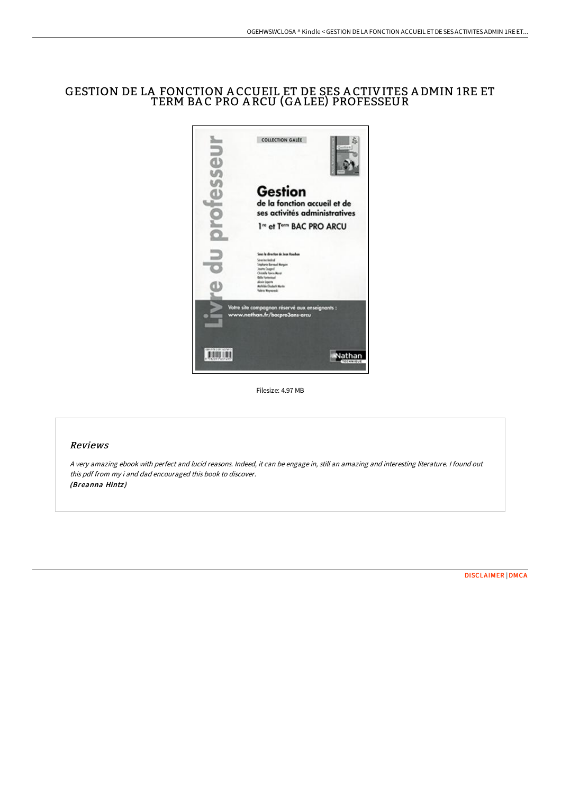# GESTION DE LA FONCTION A CCUEIL ET DE SES A CTIVITES A DMIN 1RE ET TERM BA C PRO A RCU (GA LEE) PROFESSEUR



Filesize: 4.97 MB

## Reviews

<sup>A</sup> very amazing ebook with perfect and lucid reasons. Indeed, it can be engage in, still an amazing and interesting literature. <sup>I</sup> found out this pdf from my i and dad encouraged this book to discover. (Breanna Hintz)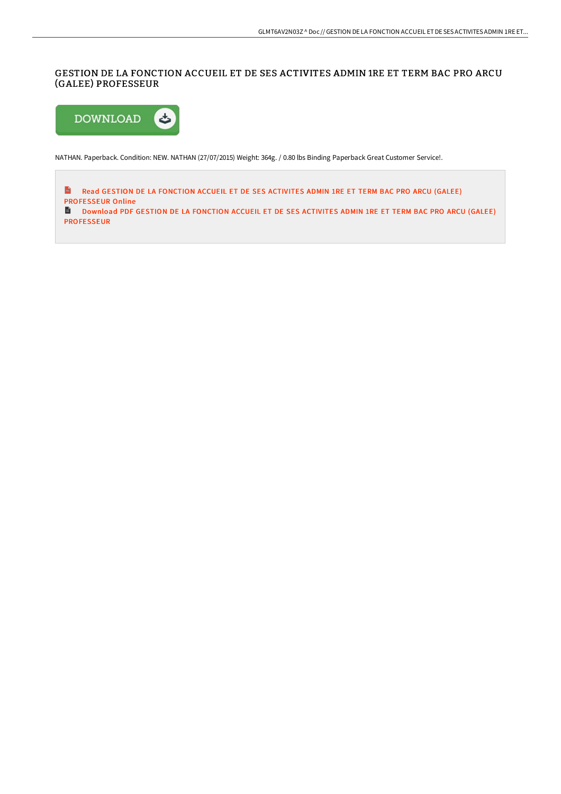## GESTION DE LA FONCTION ACCUEIL ET DE SES ACTIVITES ADMIN 1RE ET TERM BAC PRO ARCU (GALEE) PROFESSEUR



NATHAN. Paperback. Condition: NEW. NATHAN (27/07/2015) Weight: 364g. / 0.80 lbs Binding Paperback Great Customer Service!.

**Read GESTION DE LA FONCTION ACCUEIL ET DE SES ACTIVITES ADMIN 1RE ET TERM BAC PRO ARCU (GALEE)** [PROFESSEUR](http://digilib.live/gestion-de-la-fonction-accueil-et-de-ses-activit.html) Online Download PDF GESTION DE LA FONCTION ACCUEIL ET DE SES ACTIVITES ADMIN 1RE ET TERM BAC PRO ARCU (GALEE) [PROFESSEUR](http://digilib.live/gestion-de-la-fonction-accueil-et-de-ses-activit.html)